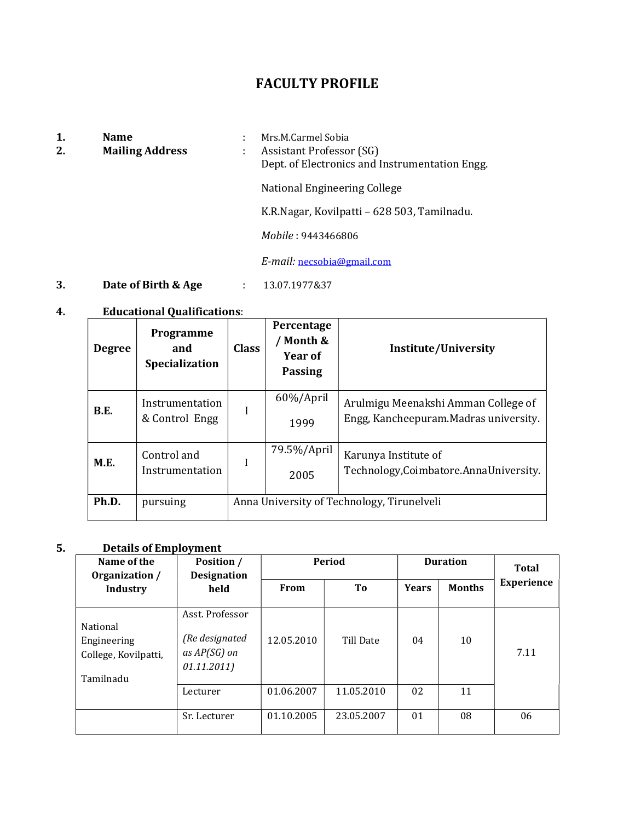## FACULTY PROFILE

- 
- 
- 1. **Name** : Mrs.M.Carmel Sobia<br>2. **Mailing Address** : Assistant Professo 2. Mailing Address : Assistant Professor (SG)

Dept. of Electronics and Instrumentation Engg.

National Engineering College

K.R.Nagar, Kovilpatti – 628 503, Tamilnadu.

Mobile : 9443466806

E-mail: necsobia@gmail.com

**3. Date of Birth & Age** : 13.07.1977&37

### 4. Educational Qualifications:

| <b>Degree</b> | Programme<br>and<br>Specialization | <b>Class</b> | Percentage<br>/ Month &<br>Year of<br><b>Passing</b> | <b>Institute/University</b>                                                   |
|---------------|------------------------------------|--------------|------------------------------------------------------|-------------------------------------------------------------------------------|
| <b>B.E.</b>   | Instrumentation<br>& Control Engg  | I            | $60\%/$ April<br>1999                                | Arulmigu Meenakshi Amman College of<br>Engg, Kancheepuram. Madras university. |
| M.E.          | Control and<br>Instrumentation     |              | 79.5%/April<br>2005                                  | Karunya Institute of<br>Technology, Coimbatore. Anna University.              |
| Ph.D.         | pursuing                           |              |                                                      | Anna University of Technology, Tirunelveli                                    |

### 5. Details of Employment

| Name of the<br>Organization /                                | Position /<br><b>Designation</b>                                 |             | <b>Period</b> | <b>Duration</b> |               | Total             |
|--------------------------------------------------------------|------------------------------------------------------------------|-------------|---------------|-----------------|---------------|-------------------|
| <b>Industry</b>                                              | held                                                             | <b>From</b> | To            | <b>Years</b>    | <b>Months</b> | <b>Experience</b> |
| National<br>Engineering<br>College, Kovilpatti,<br>Tamilnadu | Asst. Professor<br>(Re designated<br>as AP(SG) on<br>01.11.2011) | 12.05.2010  | Till Date     | 04              | 10            | 7.11              |
|                                                              | Lecturer                                                         | 01.06.2007  | 11.05.2010    | 02              | 11            |                   |
|                                                              | Sr. Lecturer                                                     | 01.10.2005  | 23.05.2007    | 01              | 08            | 06                |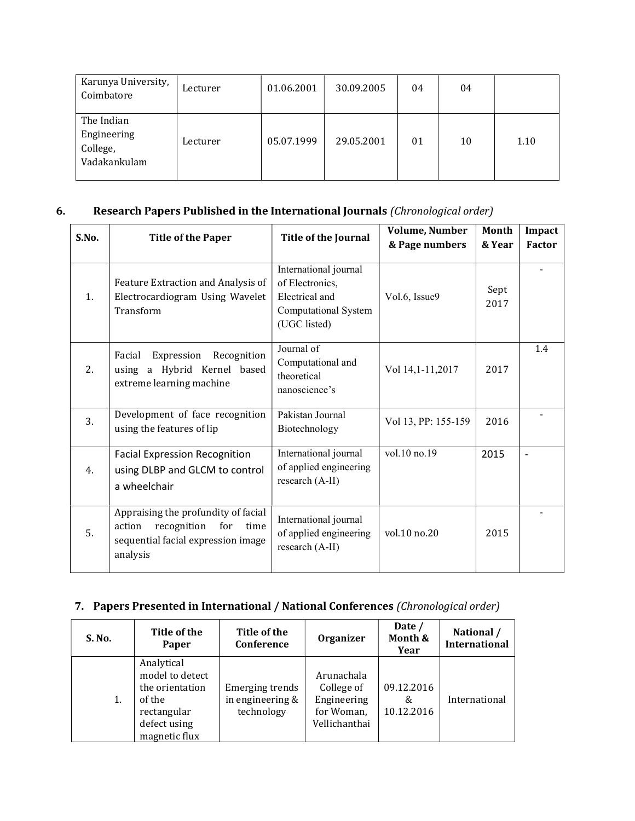| Karunya University,<br>Coimbatore                     | Lecturer | 01.06.2001 | 30.09.2005 | 04 | 04 |      |
|-------------------------------------------------------|----------|------------|------------|----|----|------|
| The Indian<br>Engineering<br>College,<br>Vadakankulam | Lecturer | 05.07.1999 | 29.05.2001 | 01 | 10 | 1.10 |

### 6. Research Papers Published in the International Journals (Chronological order)

| S.No. | <b>Title of the Paper</b>                                                                                                     | <b>Title of the Journal</b>                                                                        | <b>Volume, Number</b><br>& Page numbers | <b>Month</b><br>& Year | Impact<br>Factor |
|-------|-------------------------------------------------------------------------------------------------------------------------------|----------------------------------------------------------------------------------------------------|-----------------------------------------|------------------------|------------------|
| 1.    | Feature Extraction and Analysis of<br>Electrocardiogram Using Wavelet<br>Transform                                            | International journal<br>of Electronics,<br>Electrical and<br>Computational System<br>(UGC listed) | Vol.6, Issue9                           | Sept<br>2017           |                  |
| 2.    | Expression<br>Recognition<br>Facial<br>using a Hybrid Kernel based<br>extreme learning machine                                | Journal of<br>Computational and<br>theoretical<br>nanoscience's                                    | Vol 14,1-11,2017                        | 2017                   | 1.4              |
| 3.    | Development of face recognition<br>using the features of lip                                                                  | Pakistan Journal<br>Biotechnology                                                                  | Vol 13, PP: 155-159                     | 2016                   |                  |
| 4.    | <b>Facial Expression Recognition</b><br>using DLBP and GLCM to control<br>a wheelchair                                        | International journal<br>of applied engineering<br>research (A-II)                                 | vol.10 no.19                            | 2015                   |                  |
| 5.    | Appraising the profundity of facial<br>recognition<br>for<br>action<br>time<br>sequential facial expression image<br>analysis | International journal<br>of applied engineering<br>research (A-II)                                 | vol.10 no.20                            | 2015                   |                  |

## 7. Papers Presented in International / National Conferences (Chronological order)

| S. No. | Title of the<br>Paper                                                                                      | Title of the<br>Conference                        | <b>Organizer</b>                                                       | Date /<br>Month &<br>Year     | National /<br><b>International</b> |
|--------|------------------------------------------------------------------------------------------------------------|---------------------------------------------------|------------------------------------------------------------------------|-------------------------------|------------------------------------|
| 1.     | Analytical<br>model to detect<br>the orientation<br>of the<br>rectangular<br>defect using<br>magnetic flux | Emerging trends<br>in engineering &<br>technology | Arunachala<br>College of<br>Engineering<br>for Woman,<br>Vellichanthai | 09.12.2016<br>&<br>10.12.2016 | International                      |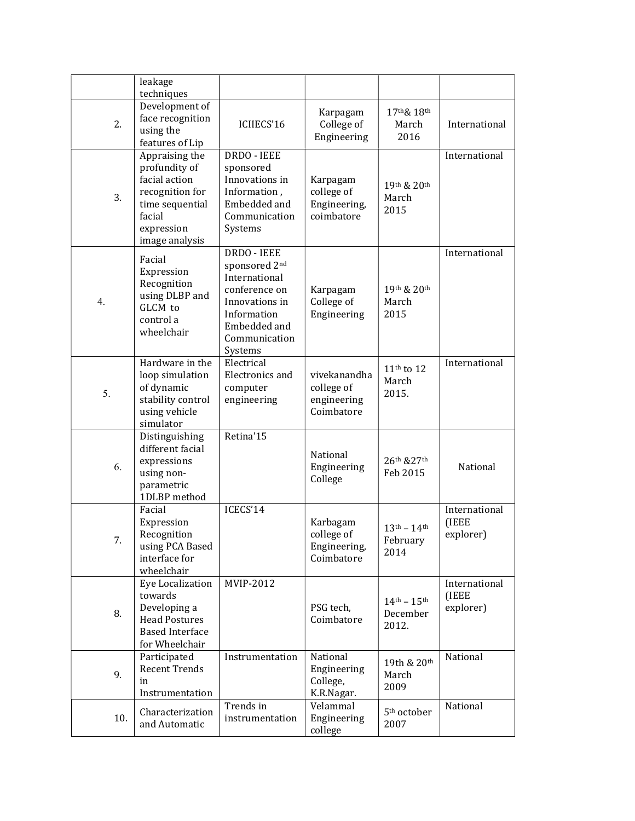|     | leakage<br>techniques                                                                                                            |                                                                                                                                             |                                                         |                                                       |                                     |
|-----|----------------------------------------------------------------------------------------------------------------------------------|---------------------------------------------------------------------------------------------------------------------------------------------|---------------------------------------------------------|-------------------------------------------------------|-------------------------------------|
| 2.  | Development of<br>face recognition<br>using the<br>features of Lip                                                               | ICIIECS'16                                                                                                                                  | Karpagam<br>College of<br>Engineering                   | 17th& 18th<br>March<br>2016                           | International                       |
| 3.  | Appraising the<br>profundity of<br>facial action<br>recognition for<br>time sequential<br>facial<br>expression<br>image analysis | DRDO - IEEE<br>sponsored<br>Innovations in<br>Information,<br>Embedded and<br>Communication<br>Systems                                      | Karpagam<br>college of<br>Engineering,<br>coimbatore    | 19th & 20th<br>March<br>2015                          | International                       |
| 4.  | Facial<br>Expression<br>Recognition<br>using DLBP and<br>GLCM to<br>control a<br>wheelchair                                      | DRDO - IEEE<br>sponsored 2nd<br>International<br>conference on<br>Innovations in<br>Information<br>Embedded and<br>Communication<br>Systems | Karpagam<br>College of<br>Engineering                   | 19th & 20th<br>March<br>2015                          | International                       |
| 5.  | Hardware in the<br>loop simulation<br>of dynamic<br>stability control<br>using vehicle<br>simulator                              | Electrical<br>Electronics and<br>computer<br>engineering                                                                                    | vivekanandha<br>college of<br>engineering<br>Coimbatore | $11th$ to $12$<br>March<br>2015.                      | International                       |
| 6.  | Distinguishing<br>different facial<br>expressions<br>using non-<br>parametric<br>1DLBP method                                    | Retina'15                                                                                                                                   | National<br>Engineering<br>College                      | 26th & 27th<br>Feb 2015                               | National                            |
| 7.  | Facial<br>Expression<br>Recognition<br>using PCA Based<br>interface for<br>wheelchair                                            | ICECS'14                                                                                                                                    | Karbagam<br>college of<br>Engineering,<br>Coimbatore    | $13^{\text{th}} - 14^{\text{th}}$<br>February<br>2014 | International<br>(IEEE<br>explorer) |
| 8.  | Eye Localization<br>towards<br>Developing a<br><b>Head Postures</b><br><b>Based Interface</b><br>for Wheelchair                  | MVIP-2012                                                                                                                                   | PSG tech,<br>Coimbatore                                 | $14^{th} - 15^{th}$<br>December<br>2012.              | International<br>(IEEE<br>explorer) |
| 9.  | Participated<br><b>Recent Trends</b><br>in<br>Instrumentation                                                                    | Instrumentation                                                                                                                             | National<br>Engineering<br>College,<br>K.R.Nagar.       | 19th & 20th<br>March<br>2009                          | National                            |
| 10. | Characterization<br>and Automatic                                                                                                | Trends in<br>instrumentation                                                                                                                | Velammal<br>Engineering<br>college                      | 5 <sup>th</sup> october<br>2007                       | National                            |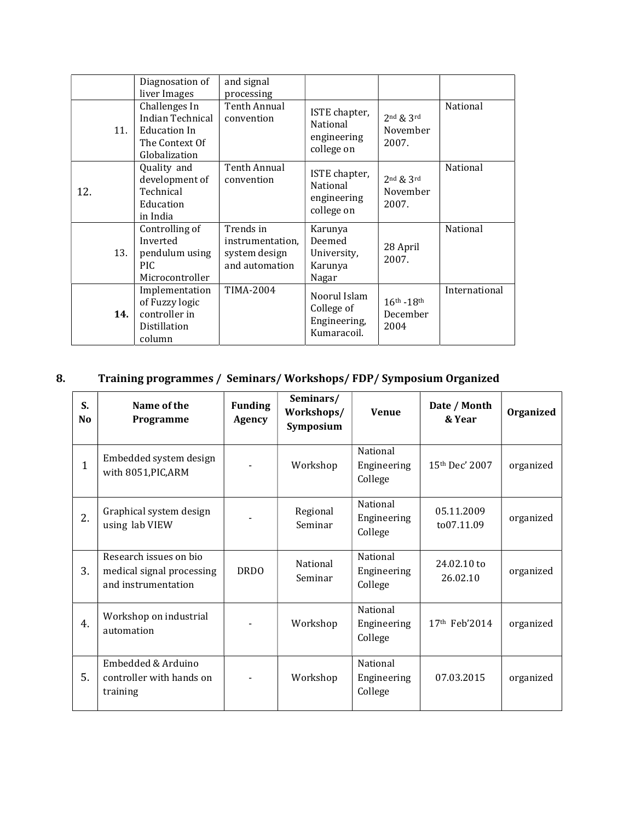|     | Diagnosation of<br>liver Images                                                      | and signal<br>processing                                         |                                                           |                                         |               |
|-----|--------------------------------------------------------------------------------------|------------------------------------------------------------------|-----------------------------------------------------------|-----------------------------------------|---------------|
| 11. | Challenges In<br>Indian Technical<br>Education In<br>The Context Of<br>Globalization | Tenth Annual<br>convention                                       | ISTE chapter,<br>National<br>engineering<br>college on    | $2nd$ & $3rd$<br>November<br>2007.      | National      |
| 12. | Quality and<br>development of<br>Technical<br>Education<br>in India                  | Tenth Annual<br>convention                                       | ISTE chapter,<br>National<br>engineering<br>college on    | $2nd$ & $3rd$<br>November<br>2007.      | National      |
| 13. | Controlling of<br>Inverted<br>pendulum using<br>PIC.<br>Microcontroller              | Trends in<br>instrumentation.<br>system design<br>and automation | Karunya<br>Deemed<br>University,<br>Karunya<br>Nagar      | 28 April<br>2007.                       | National      |
| 14. | Implementation<br>of Fuzzy logic<br>controller in<br>Distillation<br>column          | <b>TIMA-2004</b>                                                 | Noorul Islam<br>College of<br>Engineering,<br>Kumaracoil. | $16^{th} - 18^{th}$<br>December<br>2004 | International |

# 8. Training programmes / Seminars/ Workshops/ FDP/ Symposium Organized

| S.<br>N <sub>o</sub> | Name of the<br>Programme                                                   | <b>Funding</b><br><b>Agency</b> | Seminars/<br>Workshops/<br>Symposium | <b>Venue</b>                       | Date / Month<br>& Year    | Organized |
|----------------------|----------------------------------------------------------------------------|---------------------------------|--------------------------------------|------------------------------------|---------------------------|-----------|
| $\mathbf{1}$         | Embedded system design<br>with 8051, PIC, ARM                              |                                 | Workshop                             | National<br>Engineering<br>College | $15th$ Dec' 2007          | organized |
| 2.                   | Graphical system design<br>using lab VIEW                                  |                                 | Regional<br>Seminar                  | National<br>Engineering<br>College | 05.11.2009<br>to07.11.09  | organized |
| 3.                   | Research issues on bio<br>medical signal processing<br>and instrumentation | <b>DRDO</b>                     | National<br>Seminar                  | National<br>Engineering<br>College | 24.02.10 to<br>26.02.10   | organized |
| 4.                   | Workshop on industrial<br>automation                                       |                                 | Workshop                             | National<br>Engineering<br>College | 17 <sup>th</sup> Feb'2014 | organized |
| 5.                   | Embedded & Arduino<br>controller with hands on<br>training                 |                                 | Workshop                             | National<br>Engineering<br>College | 07.03.2015                | organized |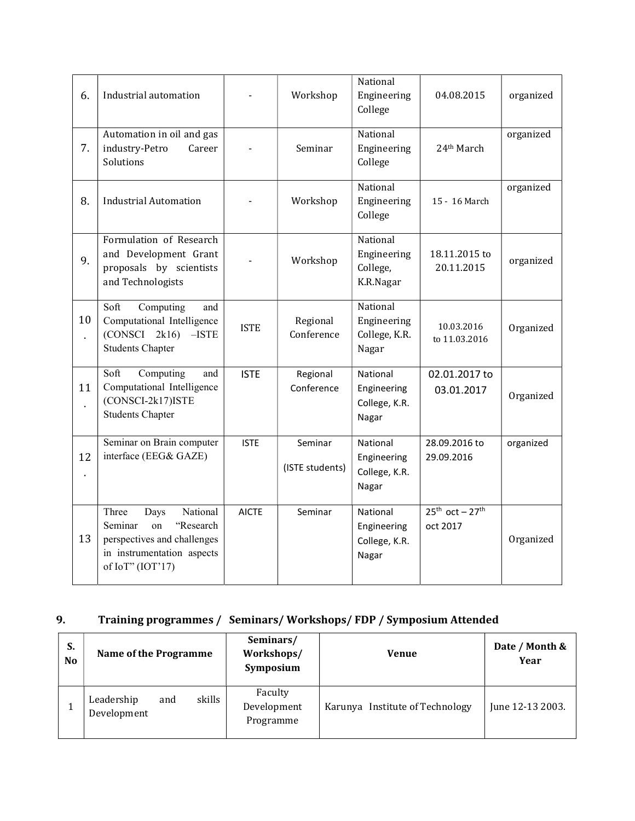| 6.       | Industrial automation                                                                                                                    |              | Workshop                   | National<br>Engineering<br>College                | 04.08.2015                      | organized |
|----------|------------------------------------------------------------------------------------------------------------------------------------------|--------------|----------------------------|---------------------------------------------------|---------------------------------|-----------|
| 7.       | Automation in oil and gas<br>industry-Petro<br>Career<br>Solutions                                                                       |              | Seminar                    | National<br>Engineering<br>College                | 24 <sup>th</sup> March          | organized |
| 8.       | <b>Industrial Automation</b>                                                                                                             |              | Workshop                   | National<br>Engineering<br>College                | 15 - 16 March                   | organized |
| 9.       | Formulation of Research<br>and Development Grant<br>proposals by scientists<br>and Technologists                                         |              | Workshop                   | National<br>Engineering<br>College,<br>K.R.Nagar  | 18.11.2015 to<br>20.11.2015     | organized |
| 10<br>t, | Soft<br>Computing<br>and<br>Computational Intelligence<br>(CONSCI 2k16)<br>$-ISTE$<br><b>Students Chapter</b>                            | <b>ISTE</b>  | Regional<br>Conference     | National<br>Engineering<br>College, K.R.<br>Nagar | 10.03.2016<br>to 11.03.2016     | Organized |
| 11<br>t, | Computing<br>Soft<br>and<br>Computational Intelligence<br>(CONSCI-2k17) ISTE<br><b>Students Chapter</b>                                  | <b>ISTE</b>  | Regional<br>Conference     | National<br>Engineering<br>College, K.R.<br>Nagar | 02.01.2017 to<br>03.01.2017     | Organized |
| 12       | Seminar on Brain computer<br>interface (EEG& GAZE)                                                                                       | <b>ISTE</b>  | Seminar<br>(ISTE students) | National<br>Engineering<br>College, K.R.<br>Nagar | 28.09.2016 to<br>29.09.2016     | organized |
| 13       | National<br>Three<br>Days<br>Seminar<br>on<br>"Research<br>perspectives and challenges<br>in instrumentation aspects<br>of IoT" (IOT'17) | <b>AICTE</b> | Seminar                    | National<br>Engineering<br>College, K.R.<br>Nagar | $25th$ oct - $27th$<br>oct 2017 | Organized |

## 9. Training programmes / Seminars/ Workshops/ FDP / Symposium Attended

| S. | N <sub>o</sub> | <b>Name of the Programme</b>     |        | Seminars/<br>Workshops/<br>Symposium | <b>Venue</b>                    | Date / Month &<br>Year |
|----|----------------|----------------------------------|--------|--------------------------------------|---------------------------------|------------------------|
|    |                | Leadership<br>and<br>Development | skills | Faculty<br>Development<br>Programme  | Karunya Institute of Technology | June 12-13 2003.       |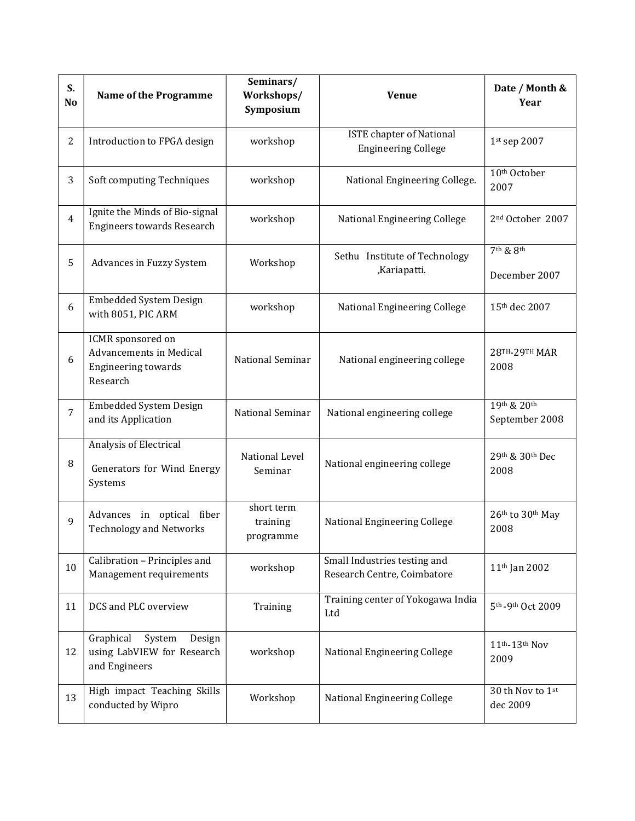| S.<br>No       | <b>Name of the Programme</b>                                                                  | Seminars/<br>Workshops/<br>Symposium | <b>Venue</b>                                                  | Date / Month &<br>Year                             |
|----------------|-----------------------------------------------------------------------------------------------|--------------------------------------|---------------------------------------------------------------|----------------------------------------------------|
| $\overline{2}$ | Introduction to FPGA design                                                                   | workshop                             | <b>ISTE</b> chapter of National<br><b>Engineering College</b> | 1st sep 2007                                       |
| 3              | Soft computing Techniques                                                                     | workshop                             | National Engineering College.                                 | 10 <sup>th</sup> October<br>2007                   |
| $\overline{4}$ | Ignite the Minds of Bio-signal<br><b>Engineers towards Research</b>                           | workshop                             | National Engineering College                                  | 2 <sup>nd</sup> October 2007                       |
| 5              | Advances in Fuzzy System                                                                      | Workshop                             | Sethu Institute of Technology<br>,Kariapatti.                 | 7 <sup>th</sup> & 8 <sup>th</sup><br>December 2007 |
| 6              | <b>Embedded System Design</b><br>with 8051, PIC ARM                                           | workshop                             | National Engineering College                                  | 15th dec 2007                                      |
| 6              | ICMR sponsored on<br><b>Advancements in Medical</b><br><b>Engineering towards</b><br>Research | National Seminar                     | National engineering college                                  | <b>28TH-29TH MAR</b><br>2008                       |
| 7              | <b>Embedded System Design</b><br>and its Application                                          | National Seminar                     | National engineering college                                  | 19th & 20th<br>September 2008                      |
| 8              | Analysis of Electrical<br>Generators for Wind Energy<br>Systems                               | National Level<br>Seminar            | National engineering college                                  | 29th & 30th Dec<br>2008                            |
| 9              | Advances in optical fiber<br><b>Technology and Networks</b>                                   | short term<br>training<br>programme  | National Engineering College                                  | 26th to 30th May<br>2008                           |
| 10             | Calibration - Principles and<br>Management requirements                                       | workshop                             | Small Industries testing and<br>Research Centre, Coimbatore   | 11 <sup>th</sup> Jan 2002                          |
| 11             | DCS and PLC overview                                                                          | Training                             | Training center of Yokogawa India<br>Ltd                      | 5 <sup>th</sup> - 9 <sup>th</sup> Oct 2009         |
| 12             | Graphical<br>System<br>Design<br>using LabVIEW for Research<br>and Engineers                  | workshop                             | National Engineering College                                  | 11th-13th Nov<br>2009                              |
| 13             | High impact Teaching Skills<br>conducted by Wipro                                             | Workshop                             | National Engineering College                                  | 30 th Nov to 1st<br>dec 2009                       |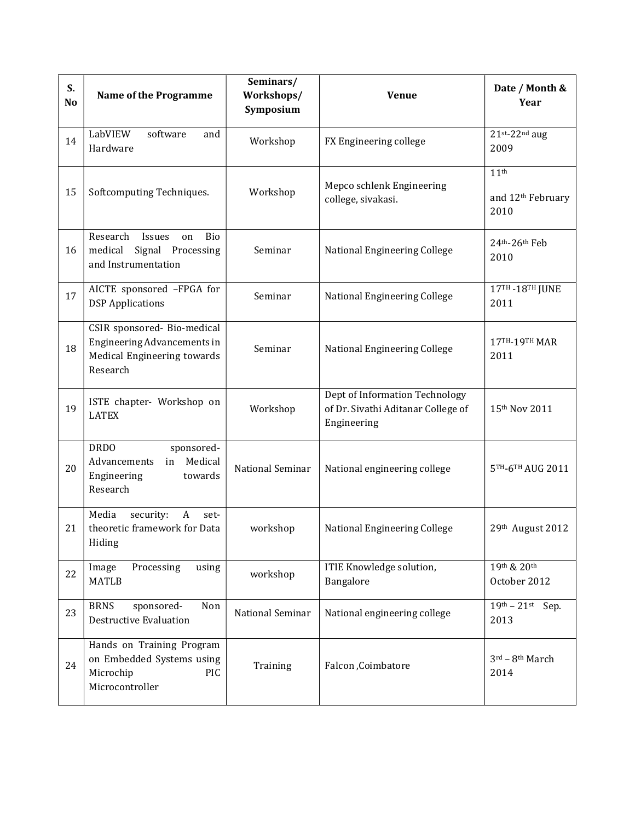| S.<br>N <sub>o</sub> | <b>Name of the Programme</b>                                                                          | Seminars/<br>Workshops/<br>Symposium | <b>Venue</b>                                                                        | Date / Month &<br>Year                                    |
|----------------------|-------------------------------------------------------------------------------------------------------|--------------------------------------|-------------------------------------------------------------------------------------|-----------------------------------------------------------|
| 14                   | LabVIEW<br>software<br>and<br>Hardware                                                                | Workshop                             | FX Engineering college                                                              | $21$ st-22 <sup>nd</sup> aug<br>2009                      |
| 15                   | Softcomputing Techniques.                                                                             | Workshop                             | Mepco schlenk Engineering<br>college, sivakasi.                                     | 11 <sup>th</sup><br>and 12 <sup>th</sup> February<br>2010 |
| 16                   | Research<br>Bio<br>Issues<br>on<br>medical<br>Signal Processing<br>and Instrumentation                | Seminar                              | National Engineering College                                                        | $24th - 26th$ Feb<br>2010                                 |
| 17                   | AICTE sponsored -FPGA for<br><b>DSP</b> Applications                                                  | Seminar                              | National Engineering College                                                        | 17TH - 18TH JUNE<br>2011                                  |
| 18                   | CSIR sponsored- Bio-medical<br>Engineering Advancements in<br>Medical Engineering towards<br>Research | Seminar                              | National Engineering College                                                        | 17TH-19TH MAR<br>2011                                     |
| 19                   | ISTE chapter- Workshop on<br><b>LATEX</b>                                                             | Workshop                             | Dept of Information Technology<br>of Dr. Sivathi Aditanar College of<br>Engineering | 15th Nov 2011                                             |
| 20                   | <b>DRDO</b><br>sponsored-<br>Medical<br>Advancements<br>in<br>Engineering<br>towards<br>Research      | National Seminar                     | National engineering college                                                        | 5TH-6TH AUG 2011                                          |
| 21                   | Media<br>security:<br>A<br>set-<br>theoretic framework for Data<br>Hiding                             | workshop                             | National Engineering College                                                        | 29th August 2012                                          |
| 22                   | Image<br>Processing<br>using<br><b>MATLB</b>                                                          | workshop                             | ITIE Knowledge solution,<br>Bangalore                                               | 19th & 20th<br>October 2012                               |
| 23                   | <b>BRNS</b><br>sponsored-<br>Non<br><b>Destructive Evaluation</b>                                     | National Seminar                     | National engineering college                                                        | $19^{th} - 21^{st}$<br>Sep.<br>2013                       |
| 24                   | Hands on Training Program<br>on Embedded Systems using<br>Microchip<br>PIC<br>Microcontroller         | Training                             | Falcon, Coimbatore                                                                  | $3^{\text{rd}} - 8^{\text{th}}$ March<br>2014             |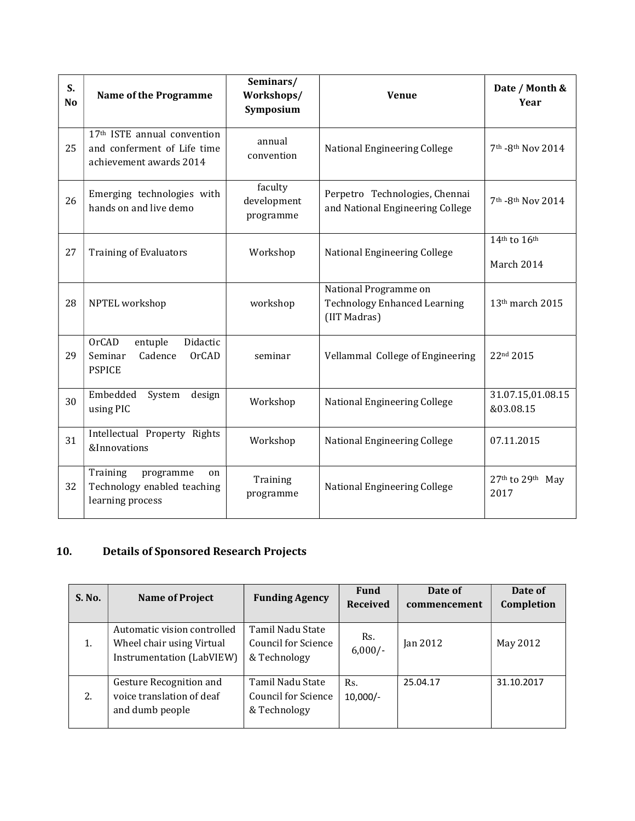| S.<br>N <sub>o</sub> | <b>Name of the Programme</b>                                                                      | Seminars/<br>Workshops/<br>Symposium | <b>Venue</b>                                                                 | Date / Month &<br>Year         |
|----------------------|---------------------------------------------------------------------------------------------------|--------------------------------------|------------------------------------------------------------------------------|--------------------------------|
| 25                   | 17 <sup>th</sup> ISTE annual convention<br>and conferment of Life time<br>achievement awards 2014 | annual<br>convention                 | National Engineering College                                                 | 7th -8th Nov 2014              |
| 26                   | Emerging technologies with<br>hands on and live demo                                              | faculty<br>development<br>programme  | Perpetro Technologies, Chennai<br>and National Engineering College           | 7th -8th Nov 2014              |
| 27                   | <b>Training of Evaluators</b>                                                                     | Workshop                             | National Engineering College                                                 | 14th to 16th<br>March 2014     |
| 28                   | NPTEL workshop                                                                                    | workshop                             | National Programme on<br><b>Technology Enhanced Learning</b><br>(IIT Madras) | 13 <sup>th</sup> march 2015    |
| 29                   | <b>OrCAD</b><br>entuple<br>Didactic<br>Seminar<br>Cadence<br><b>OrCAD</b><br><b>PSPICE</b>        | seminar                              | Vellammal College of Engineering                                             | 22nd 2015                      |
| 30                   | Embedded<br>System<br>design<br>using PIC                                                         | Workshop                             | National Engineering College                                                 | 31.07.15,01.08.15<br>&03.08.15 |
| 31                   | Intellectual Property Rights<br>&Innovations                                                      | Workshop                             | National Engineering College                                                 | 07.11.2015                     |
| 32                   | Training<br>programme<br>on<br>Technology enabled teaching<br>learning process                    | Training<br>programme                | National Engineering College                                                 | 27th to 29th May<br>2017       |

## 10. Details of Sponsored Research Projects

| <b>S. No.</b> | Name of Project                                                                       | <b>Funding Agency</b>                                          | <b>Fund</b><br><b>Received</b> | Date of<br>commencement | Date of<br>Completion |
|---------------|---------------------------------------------------------------------------------------|----------------------------------------------------------------|--------------------------------|-------------------------|-----------------------|
| 1.            | Automatic vision controlled<br>Wheel chair using Virtual<br>Instrumentation (LabVIEW) | Tamil Nadu State<br><b>Council for Science</b><br>& Technology | Rs.<br>$6,000/-$               | $\tan 2012$             | May 2012              |
| 2.            | Gesture Recognition and<br>voice translation of deaf<br>and dumb people               | Tamil Nadu State<br><b>Council for Science</b><br>& Technology | Rs.<br>$10,000/-$              | 25.04.17                | 31.10.2017            |